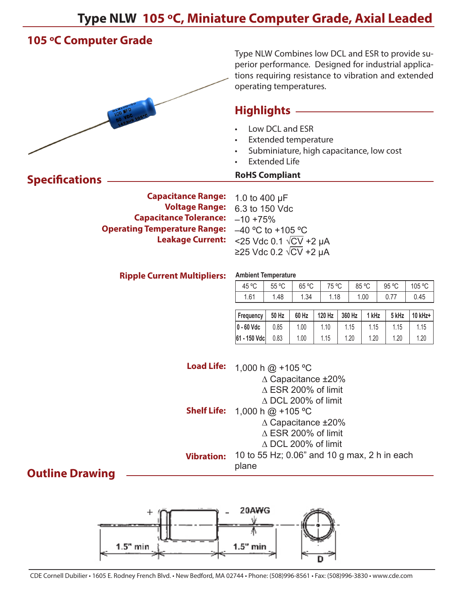# **Type NLW 105 ºC, Miniature Computer Grade, Axial Leaded**

# **105 ºC Computer Grade**

**Specifications**



Type NLW Combines low DCL and ESR to provide superior performance. Designed for industrial applications requiring resistance to vibration and extended operating temperatures.

### **Highlights**

- Low DCL and ESR
- Extended temperature
- Subminiature, high capacitance, low cost
- **Extended Life**

#### **RoHS Compliant**

**Ambient Temperature** 

**Capacitance Range: Voltage Range: Capacitance Tolerance: Operating Temperature Range: Leakage Current:** 1.0 to 400 µF 6.3 to 150 Vdc  $-10 + 75%$  $-40$  °C to +105 °C <25 Vdc 0.1 √CV +2 µA ≥25 Vdc 0.2 √CV +2 µA

#### **Ripple Current Multipliers:**

| 45 °C | 55 °C | 65 °C | 75 °C   | 85 °C | 95 °C | 105 °C |
|-------|-------|-------|---------|-------|-------|--------|
| 1.61  | 48، ا | .34   | . 18. . | 1.00  | υ. ι  | 0.45   |
|       |       |       |         |       |       |        |

| <b>Frequency</b> | 50 Hz | 120 Hz<br>60 Hz |      | 360 Hz | 1 kHz | 5 kHz | $10$ kHz+ |
|------------------|-------|-----------------|------|--------|-------|-------|-----------|
| $ 0 - 60$ Vdc    | 0.85  | 1.00            | 1.10 | 1.15   | 1.15  | 1.15  | 1.15      |
| 61 - 150 Vdc     | 0.83  | 1.00            | 1.15 | 1.20   | 1.20  | 1.20  | 1.20      |

| <b>Load Life:</b>  | 1,000 h $@ + 105 °C$                         |
|--------------------|----------------------------------------------|
|                    | $\triangle$ Capacitance $\pm 20\%$           |
|                    | $\triangle$ ESR 200% of limit                |
|                    | $\triangle$ DCL 200% of limit                |
| <b>Shelf Life:</b> | 1,000 h $@ + 105 °C$                         |
|                    | ∆ Capacitance ±20%                           |
|                    | $\triangle$ ESR 200% of limit                |
|                    | $\triangle$ DCL 200% of limit                |
| <b>Vibration:</b>  | 10 to 55 Hz; 0.06" and 10 g max, 2 h in each |
|                    | plane                                        |

### **Outline Drawing**

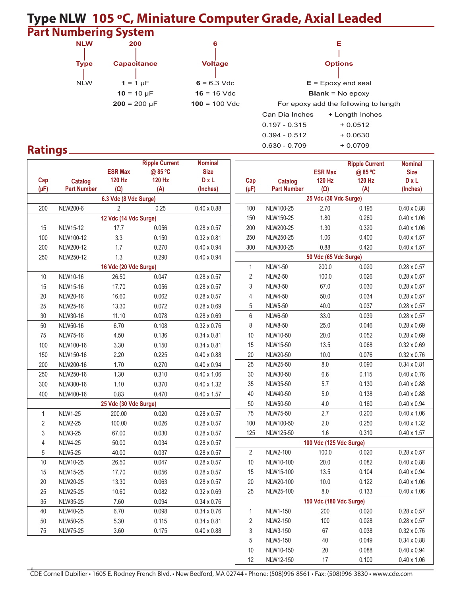## **Type NLW 105 ºC, Miniature Computer Grade, Axial Leaded Part Numbering System**



 $\mathbf{I}$  $N_L$ W  $1 = 1 \mu$ F  $6 = 6.3 \text{ Vdc}$   $E =$  Epoxy end seal = 10 µF **16** = 16 Vdc **Blank** = No epoxy  $200 = 200 \text{ }\mu\text{F}$  **100** = 100 Vdc For epoxy add the following to length Can Dia Inches + Length Inches  $0.197 - 0.315$  + 0.0512  $0.394 - 0.512 + 0.0630$  $0.630 - 0.709 + 0.0709$ 

## **Ratings**

|                  |                                      |                                 | <b>Ripple Current</b>   | <b>Nominal</b>       |                |                                                                     |                         | <b>Ripple Current</b> | <b>Nominal</b>     |  |  |
|------------------|--------------------------------------|---------------------------------|-------------------------|----------------------|----------------|---------------------------------------------------------------------|-------------------------|-----------------------|--------------------|--|--|
|                  |                                      | <b>ESR Max</b><br><b>120 Hz</b> | @85 °C<br><b>120 Hz</b> | <b>Size</b><br>D x L |                |                                                                     | <b>ESR Max</b>          | @85 °C                | <b>Size</b>        |  |  |
| Cap<br>$(\mu F)$ | <b>Catalog</b><br><b>Part Number</b> | $(\Omega)$                      | (A)                     | (Inches)             | Cap            | <b>Catalog</b><br><b>Part Number</b>                                | 120 Hz                  | <b>120 Hz</b>         | D x L              |  |  |
|                  | 6.3 Vdc (8 Vdc Surge)                |                                 |                         |                      |                | $(\Omega)$<br>$(\mu F)$<br>(A)<br>(Inches)<br>25 Vdc (30 Vdc Surge) |                         |                       |                    |  |  |
| 200              | NLW200-6                             | $\overline{2}$                  | 0.25                    | $0.40 \times 0.88$   | 100            | NLW100-25                                                           | 2.70                    | 0.195                 | $0.40 \times 0.88$ |  |  |
|                  |                                      | 12 Vdc (14 Vdc Surge)           |                         |                      | 150            | NLW150-25                                                           | 1.80                    | 0.260                 | $0.40 \times 1.06$ |  |  |
| 15               | NLW15-12                             | 17.7                            | 0.056                   | $0.28 \times 0.57$   | 200            | NLW200-25                                                           | 1.30                    | 0.320                 | $0.40 \times 1.06$ |  |  |
| 100              | NLW100-12                            | 3.3                             | 0.150                   | $0.32 \times 0.81$   | 250            | NLW250-25                                                           | 1.06                    | 0.400                 | $0.40 \times 1.57$ |  |  |
| 200              | NLW200-12                            | 1.7                             | 0.270                   | $0.40 \times 0.94$   | 300            | NLW300-25                                                           | 0.88                    | 0.420                 | $0.40 \times 1.57$ |  |  |
| 250              | NLW250-12                            | 1.3                             | 0.290                   | $0.40 \times 0.94$   |                |                                                                     | 50 Vdc (65 Vdc Surge)   |                       |                    |  |  |
|                  |                                      | 16 Vdc (20 Vdc Surge)           |                         |                      | 1              | <b>NLW1-50</b>                                                      | 200.0                   | 0.020                 | $0.28 \times 0.57$ |  |  |
| 10               | NLW10-16                             | 26.50                           | 0.047                   | $0.28 \times 0.57$   | 2              | <b>NLW2-50</b>                                                      | 100.0                   | 0.026                 | $0.28 \times 0.57$ |  |  |
| 15               | NLW15-16                             | 17.70                           | 0.056                   | $0.28 \times 0.57$   | 3              | <b>NLW3-50</b>                                                      | 67.0                    | 0.030                 | $0.28 \times 0.57$ |  |  |
| 20               | NLW20-16                             | 16.60                           | 0.062                   | $0.28 \times 0.57$   | 4              | <b>NLW4-50</b>                                                      | 50.0                    | 0.034                 | $0.28 \times 0.57$ |  |  |
| 25               | NLW25-16                             | 13.30                           | 0.072                   | $0.28 \times 0.69$   | $\,$ 5 $\,$    | <b>NLW5-50</b>                                                      | 40.0                    | 0.037                 | $0.28 \times 0.57$ |  |  |
| 30               | NLW30-16                             | 11.10                           | 0.078                   | $0.28 \times 0.69$   | 6              | <b>NLW6-50</b>                                                      | 33.0                    | 0.039                 | $0.28 \times 0.57$ |  |  |
| 50               | NLW50-16                             | 6.70                            | 0.108                   | $0.32 \times 0.76$   | 8              | <b>NLW8-50</b>                                                      | 25.0                    | 0.046                 | $0.28 \times 0.69$ |  |  |
| 75               | NLW75-16                             | 4.50                            | 0.136                   | $0.34 \times 0.81$   | 10             | NLW10-50                                                            | 20.0                    | 0.052                 | $0.28 \times 0.69$ |  |  |
| 100              | NLW100-16                            | 3.30                            | 0.150                   | $0.34 \times 0.81$   | 15             | NLW15-50                                                            | 13.5                    | 0.068                 | $0.32 \times 0.69$ |  |  |
| 150              | NLW150-16                            | 2.20                            | 0.225                   | $0.40 \times 0.88$   | 20             | NLW20-50                                                            | 10.0                    | 0.076                 | $0.32 \times 0.76$ |  |  |
| 200              | NLW200-16                            | 1.70                            | 0.270                   | $0.40 \times 0.94$   | 25             | NLW25-50                                                            | $8.0\,$                 | 0.090                 | $0.34 \times 0.81$ |  |  |
| 250              | NLW250-16                            | 1.30                            | 0.310                   | $0.40 \times 1.06$   | $30\,$         | NLW30-50                                                            | $6.6\,$                 | 0.115                 | $0.40 \times 0.76$ |  |  |
| 300              | NLW300-16                            | 1.10                            | 0.370                   | $0.40 \times 1.32$   | 35             | NLW35-50                                                            | 5.7                     | 0.130                 | $0.40 \times 0.88$ |  |  |
| 400              | NLW400-16                            | 0.83                            | 0.470                   | $0.40 \times 1.57$   | 40             | NLW40-50                                                            | $5.0\,$                 | 0.138                 | $0.40 \times 0.88$ |  |  |
|                  |                                      | 25 Vdc (30 Vdc Surge)           |                         |                      | 50             | NLW50-50                                                            | 4.0                     | 0.160                 | $0.40 \times 0.94$ |  |  |
| 1                | <b>NLW1-25</b>                       | 200.00                          | 0.020                   | $0.28 \times 0.57$   | 75             | NLW75-50                                                            | 2.7                     | 0.200                 | $0.40 \times 1.06$ |  |  |
| $\overline{c}$   | <b>NLW2-25</b>                       | 100.00                          | 0.026                   | $0.28 \times 0.57$   | 100            | NLW100-50                                                           | 2.0                     | 0.250                 | $0.40 \times 1.32$ |  |  |
| 3                | <b>NLW3-25</b>                       | 67.00                           | 0.030                   | $0.28 \times 0.57$   | 125            | NLW125-50                                                           | 1.6                     | 0.310                 | $0.40 \times 1.57$ |  |  |
| 4                | <b>NLW4-25</b>                       | 50.00                           | 0.034                   | $0.28 \times 0.57$   |                |                                                                     | 100 Vdc (125 Vdc Surge) |                       |                    |  |  |
| 5                | <b>NLW5-25</b>                       | 40.00                           | 0.037                   | $0.28 \times 0.57$   | $\overline{2}$ | NLW2-100                                                            | 100.0                   | 0.020                 | $0.28 \times 0.57$ |  |  |
| 10               | NLW10-25                             | 26.50                           | 0.047                   | $0.28 \times 0.57$   | 10             | NLW10-100                                                           | 20.0                    | 0.082                 | $0.40 \times 0.88$ |  |  |
| 15               | <b>NLW15-25</b>                      | 17.70                           | 0.056                   | $0.28 \times 0.57$   | 15             | NLW15-100                                                           | 13.5                    | 0.104                 | $0.40 \times 0.94$ |  |  |
| 20               | NLW20-25                             | 13.30                           | 0.063                   | $0.28 \times 0.57$   | 20             | NLW20-100                                                           | 10.0                    | 0.122                 | $0.40 \times 1.06$ |  |  |
| 25               | <b>NLW25-25</b>                      | 10.60                           | 0.082                   | $0.32 \times 0.69$   | 25             | NLW25-100                                                           | 8.0                     | 0.133                 | $0.40 \times 1.06$ |  |  |
| 35               | NLW35-25                             | 7.60                            | 0.094                   | $0.34 \times 0.76$   |                |                                                                     | 150 Vdc (180 Vdc Surge) |                       |                    |  |  |
| 40               | NLW40-25                             | 6.70                            | 0.098                   | $0.34 \times 0.76$   | 1              | NLW1-150                                                            | 200                     | 0.020                 | $0.28 \times 0.57$ |  |  |
| 50               | <b>NLW50-25</b>                      | 5.30                            | 0.115                   | $0.34 \times 0.81$   | 2              | NLW2-150                                                            | 100                     | 0.028                 | $0.28 \times 0.57$ |  |  |
| 75               | <b>NLW75-25</b>                      | 3.60                            | 0.175                   | $0.40 \times 0.88$   | 3              | NLW3-150                                                            | 67                      | 0.038                 | $0.32 \times 0.76$ |  |  |
|                  |                                      |                                 |                         |                      | 5              | NLW5-150                                                            | 40                      | 0.049                 | $0.34 \times 0.88$ |  |  |
|                  |                                      |                                 |                         |                      | 10             | NLW10-150                                                           | 20                      | 0.088                 | $0.40 \times 0.94$ |  |  |
|                  |                                      |                                 |                         |                      | 12             | NLW12-150                                                           | 17                      | 0.100                 | $0.40 \times 1.06$ |  |  |

CDE Cornell Dubilier • 1605 E. Rodney French Blvd. • New Bedford, MA 02744 • Phone: (508)996-8561 • Fax: (508)996-3830 • www.cde.com